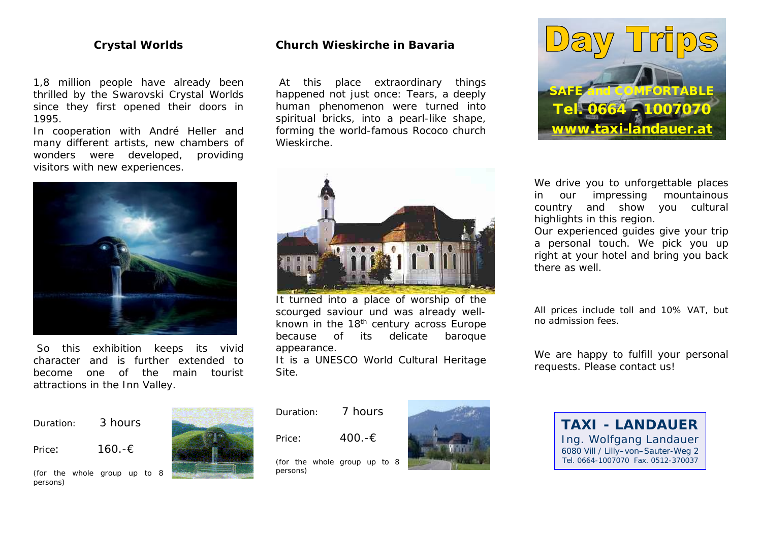# **Crystal Worlds**

1,8 million people have already been thrilled by the Swarovski Crystal Worlds since they first opened their doors in 1995.

In cooperation with André Heller and many different artists, new chambers of wonders were developed, providing visitors with new experiences.



So this exhibition keeps its vivid character and is further extended to become one of the main tourist attractions in the Inn Valley.



persons)



# **Church Wieskirche in Bavaria**

At this place extraordinary things happened not just once: Tears, a deeply human phenomenon were turned into spiritual bricks, into a pearl-like shape, forming the world-famous Rococo church Wieskirche.



It turned into a place of worship of the scourged saviour und was already wellknown in the 18th century across Europe because of its delicate baroque appearance.

It is a UNESCO World Cultural Heritage Site.

Duration: 7 hours

Price:  $400.$ -€

persons)

(for the whole group up to 8





We drive you to unforgettable places in our impressing mountainous country and show you cultural highlights in this region.

Our experienced guides give your trip a personal touch. We pick you up right at your hotel and bring you back there as well.

All prices include toll and 10% VAT, but no admission fees.

We are happy to fulfill your personal requests. Please contact us!

> **TAXI - LANDAUER** Ing. Wolfgang Landauer 6080 Vill / Lilly–von–Sauter-Weg 2 Tel. 0664-1007070 Fax. 0512-370037